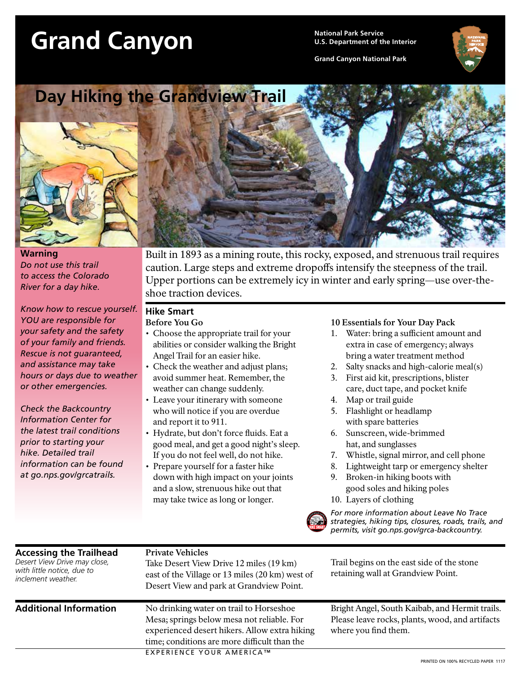# Grand Canyon<br> *Canyon D.S. Department of th*

**U.S. Department of the Interior**

**Grand Canyon National Park**





**Warning** *Do not use this trail to access the Colorado River for a day hike.*

*Know how to rescue yourself. YOU are responsible for your safety and the safety of your family and friends. Rescue is not guaranteed, and assistance may take hours or days due to weather or other emergencies.*

*Check the Backcountry Information Center for the latest trail conditions prior to starting your hike. Detailed trail information can be found at go.nps.gov/grcatrails.*

Built in 1893 as a mining route, this rocky, exposed, and strenuous trail requires caution. Large steps and extreme dropoffs intensify the steepness of the trail. Upper portions can be extremely icy in winter and early spring—use over-theshoe traction devices.

### **Hike Smart**

#### **Before You Go**

- Choose the appropriate trail for your abilities or consider walking the Bright Angel Trail for an easier hike.
- Check the weather and adjust plans; avoid summer heat. Remember, the weather can change suddenly.
- Leave your itinerary with someone who will notice if you are overdue and report it to 911.
- Hydrate, but don't force fluids. Eat a good meal, and get a good night's sleep. If you do not feel well, do not hike.
- Prepare yourself for a faster hike down with high impact on your joints and a slow, strenuous hike out that may take twice as long or longer.

#### **10 Essentials for Your Day Pack**

- 1. Water: bring a sufficient amount and extra in case of emergency; always bring a water treatment method
- 2. Salty snacks and high-calorie meal(s)
- 3. First aid kit, prescriptions, blister care, duct tape, and pocket knife
- 4. Map or trail guide
- 5. Flashlight or headlamp with spare batteries
- 6. Sunscreen, wide-brimmed hat, and sunglasses
- 7. Whistle, signal mirror, and cell phone
- 8. Lightweight tarp or emergency shelter
- 9. Broken-in hiking boots with good soles and hiking poles
- 10. Layers of clothing



*For more information about Leave No Trace strategies, hiking tips, closures, roads, trails, and permits, visit go.nps.gov/grca-backcountry.*

| <b>Accessing the Trailhead</b><br>Desert View Drive may close,<br>with little notice, due to<br>inclement weather. | <b>Private Vehicles</b><br>Take Desert View Drive 12 miles (19 km)<br>east of the Village or 13 miles (20 km) west of<br>Desert View and park at Grandview Point.                      | Trail begins on the east side of the stone<br>retaining wall at Grandview Point.                                          |
|--------------------------------------------------------------------------------------------------------------------|----------------------------------------------------------------------------------------------------------------------------------------------------------------------------------------|---------------------------------------------------------------------------------------------------------------------------|
| <b>Additional Information</b>                                                                                      | No drinking water on trail to Horseshoe<br>Mesa; springs below mesa not reliable. For<br>experienced desert hikers. Allow extra hiking<br>time; conditions are more difficult than the | Bright Angel, South Kaibab, and Hermit trails.<br>Please leave rocks, plants, wood, and artifacts<br>where you find them. |
|                                                                                                                    | <b>EXPERIENCE YOUR AMERICA™</b>                                                                                                                                                        | PRINTED ON 100% RECYCLED PAPER 1117                                                                                       |